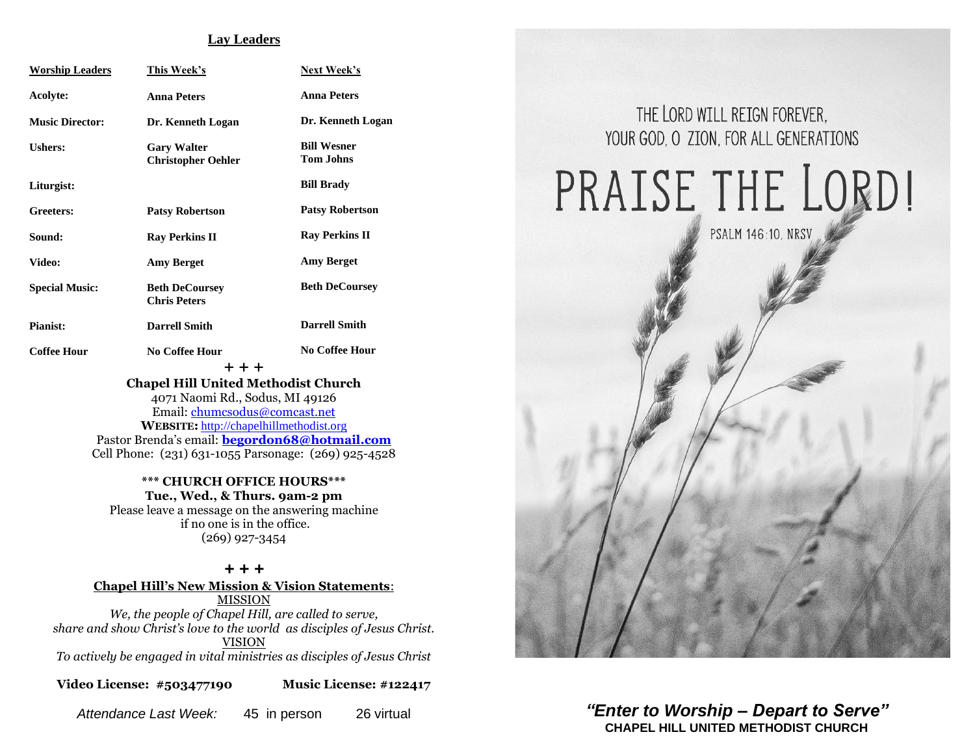#### **Lay Leaders**

| <b>Worship Leaders</b> | <b>This Week's</b>                              | <b>Next Week's</b>                     |
|------------------------|-------------------------------------------------|----------------------------------------|
| Acolyte:               | <b>Anna Peters</b>                              | <b>Anna Peters</b>                     |
| <b>Music Director:</b> | Dr. Kenneth Logan                               | Dr. Kenneth Logan                      |
| <b>Ushers:</b>         | <b>Gary Walter</b><br><b>Christopher Oehler</b> | <b>Bill Wesner</b><br><b>Tom Johns</b> |
| Liturgist:             |                                                 | <b>Bill Brady</b>                      |
| Greeters:              | <b>Patsy Robertson</b>                          | <b>Patsy Robertson</b>                 |
| Sound:                 | <b>Ray Perkins II</b>                           | <b>Ray Perkins II</b>                  |
| <b>Video:</b>          | <b>Amy Berget</b>                               | <b>Amy Berget</b>                      |
| <b>Special Music:</b>  | <b>Beth DeCoursey</b><br><b>Chris Peters</b>    | <b>Beth DeCoursey</b>                  |
| <b>Pianist:</b>        | <b>Darrell Smith</b>                            | <b>Darrell Smith</b>                   |
| <b>Coffee Hour</b>     | <b>No Coffee Hour</b><br>$++$ $+$               | <b>No Coffee Hour</b>                  |
|                        | <b>Chapel Hill United Methodist Church</b>      |                                        |

4071 Naomi Rd., Sodus, MI 49126 Email: [chumcsodus@comcast.net](mailto:chumcsodus@comcast.net) **WEBSITE:** [http://chapelhillmethodist.org](http://chapelhillmethodist.org/) Pastor Brenda's email: **[begordon68@hotmail.com](mailto:begordon68@hotmail.com)** Cell Phone: (231) 631-1055 Parsonage: (269) 925-4528

**\*\*\* CHURCH OFFICE HOURS\*\*\* Tue., Wed., & Thurs. 9am-2 pm** Please leave a message on the answering machine if no one is in the office. (269) 927-3454

*+ + +* **Chapel Hill's New Mission & Vision Statements**: MISSION *We, the people of Chapel Hill, are called to serve, share and show Christ's love to the world as disciples of Jesus Christ.* VISION *To actively be engaged in vital ministries as disciples of Jesus Christ*

**Video License: #503477190 Music License: #122417**



PRAISE THE LORD!

**PSALM 146:10. NRSV** 

*Attendance Last Week:* 45 in person 26 virtual *"Enter to Worship – Depart to Serve"* **CHAPEL HILL UNITED METHODIST CHURCH**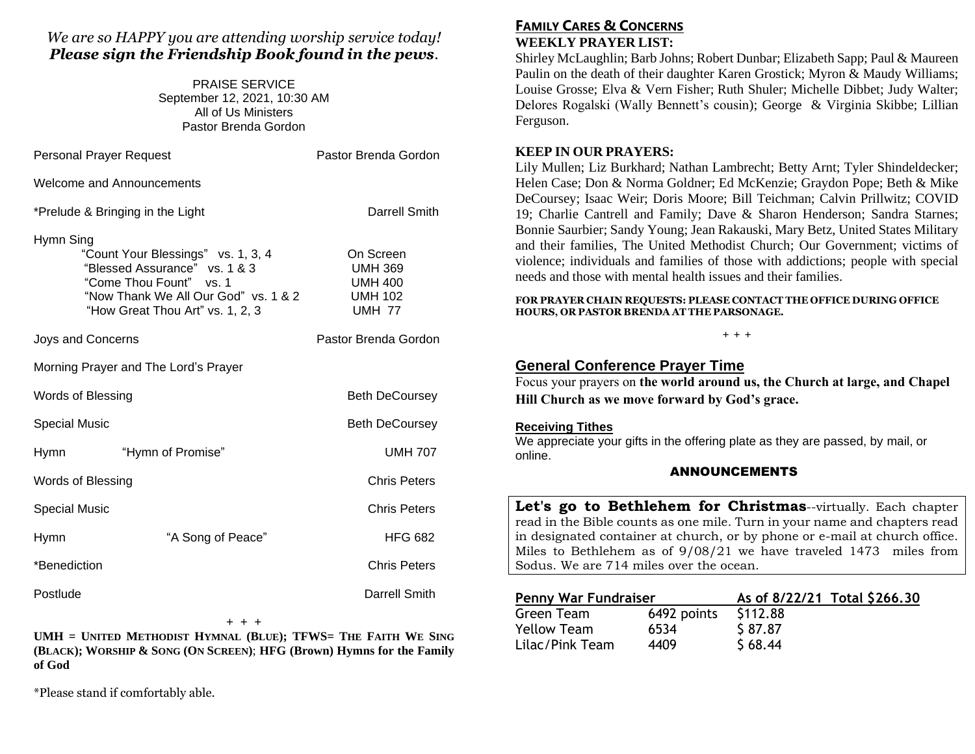## *We are so HAPPY you are attending worship service today! Please sign the Friendship Book found in the pews.*

PRAISE SERVICE September 12, 2021, 10:30 AM All of Us Ministers Pastor Brenda Gordon

| <b>Personal Prayer Request</b>       |                                                                                                                                                                            | Pastor Brenda Gordon                                                             |  |  |
|--------------------------------------|----------------------------------------------------------------------------------------------------------------------------------------------------------------------------|----------------------------------------------------------------------------------|--|--|
| <b>Welcome and Announcements</b>     |                                                                                                                                                                            |                                                                                  |  |  |
|                                      | *Prelude & Bringing in the Light                                                                                                                                           | Darrell Smith                                                                    |  |  |
| Hymn Sing                            | "Count Your Blessings" vs. 1, 3, 4<br>"Blessed Assurance" vs. 1 & 3<br>"Come Thou Fount" vs. 1<br>"Now Thank We All Our God" vs. 1 & 2<br>"How Great Thou Art" vs. 1, 2, 3 | On Screen<br><b>UMH 369</b><br><b>UMH 400</b><br><b>UMH 102</b><br><b>UMH 77</b> |  |  |
| Joys and Concerns                    |                                                                                                                                                                            | Pastor Brenda Gordon                                                             |  |  |
| Morning Prayer and The Lord's Prayer |                                                                                                                                                                            |                                                                                  |  |  |
| <b>Words of Blessing</b>             |                                                                                                                                                                            | <b>Beth DeCoursey</b>                                                            |  |  |
| <b>Special Music</b>                 |                                                                                                                                                                            | <b>Beth DeCoursey</b>                                                            |  |  |
| <b>Hymn</b>                          | "Hymn of Promise"                                                                                                                                                          | <b>UMH 707</b>                                                                   |  |  |
| Words of Blessing                    |                                                                                                                                                                            | <b>Chris Peters</b>                                                              |  |  |
| <b>Special Music</b>                 |                                                                                                                                                                            | <b>Chris Peters</b>                                                              |  |  |
| Hymn                                 | "A Song of Peace"                                                                                                                                                          | <b>HFG 682</b>                                                                   |  |  |
| *Benediction                         |                                                                                                                                                                            | <b>Chris Peters</b>                                                              |  |  |
| Postlude                             |                                                                                                                                                                            | Darrell Smith                                                                    |  |  |

#### + + +

**UMH = UNITED METHODIST HYMNAL (BLUE); TFWS= THE FAITH WE SING (BLACK); WORSHIP & SONG (ON SCREEN)**; **HFG (Brown) Hymns for the Family of God** 

\*Please stand if comfortably able.

## **FAMILY CARES & CONCERNS WEEKLY PRAYER LIST:**

Shirley McLaughlin; Barb Johns; Robert Dunbar; Elizabeth Sapp; Paul & Maureen Paulin on the death of their daughter Karen Grostick; Myron & Maudy Williams; Louise Grosse; Elva & Vern Fisher; Ruth Shuler; Michelle Dibbet; Judy Walter; Delores Rogalski (Wally Bennett's cousin); George & Virginia Skibbe; Lillian Ferguson.

## **KEEP IN OUR PRAYERS:**

Lily Mullen; Liz Burkhard; Nathan Lambrecht; Betty Arnt; Tyler Shindeldecker; Helen Case; Don & Norma Goldner; Ed McKenzie; Graydon Pope; Beth & Mike DeCoursey; Isaac Weir; Doris Moore; Bill Teichman; Calvin Prillwitz; COVID 19; Charlie Cantrell and Family; Dave & Sharon Henderson; Sandra Starnes; Bonnie Saurbier; Sandy Young; Jean Rakauski, Mary Betz, United States Military and their families, The United Methodist Church; Our Government; victims of violence; individuals and families of those with addictions; people with special needs and those with mental health issues and their families.

**FOR PRAYER CHAIN REQUESTS: PLEASE CONTACT THE OFFICE DURING OFFICE HOURS, OR PASTOR BRENDA AT THE PARSONAGE.**

#### **+ + +**

## **General Conference Prayer Time**

Focus your prayers on **the world around us, the Church at large, and Chapel Hill Church as we move forward by God's grace.**

### **Receiving Tithes**

We appreciate your gifts in the offering plate as they are passed, by mail, or online.

### ANNOUNCEMENTS

**Let's go to Bethlehem for Christmas**--virtually. Each chapter read in the Bible counts as one mile. Turn in your name and chapters read in designated container at church, or by phone or e-mail at church office. Miles to Bethlehem as of 9/08/21 we have traveled 1473 miles from Sodus. We are 714 miles over the ocean.

| <b>Penny War Fundraiser</b> |             |          | As of 8/22/21 Total \$266.30 |
|-----------------------------|-------------|----------|------------------------------|
| Green Team                  | 6492 points | \$112.88 |                              |
| <b>Yellow Team</b>          | 6534        | \$87.87  |                              |
| Lilac/Pink Team             | 4409        | \$68.44  |                              |